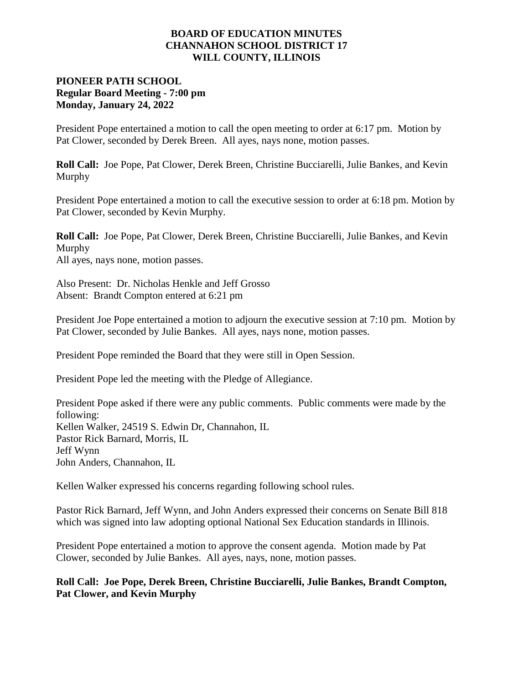#### **BOARD OF EDUCATION MINUTES CHANNAHON SCHOOL DISTRICT 17 WILL COUNTY, ILLINOIS**

## **PIONEER PATH SCHOOL Regular Board Meeting - 7:00 pm Monday, January 24, 2022**

President Pope entertained a motion to call the open meeting to order at 6:17 pm. Motion by Pat Clower, seconded by Derek Breen. All ayes, nays none, motion passes.

**Roll Call:** Joe Pope, Pat Clower, Derek Breen, Christine Bucciarelli, Julie Bankes, and Kevin Murphy

President Pope entertained a motion to call the executive session to order at 6:18 pm. Motion by Pat Clower, seconded by Kevin Murphy.

**Roll Call:** Joe Pope, Pat Clower, Derek Breen, Christine Bucciarelli, Julie Bankes, and Kevin Murphy All ayes, nays none, motion passes.

Also Present: Dr. Nicholas Henkle and Jeff Grosso Absent: Brandt Compton entered at 6:21 pm

President Joe Pope entertained a motion to adjourn the executive session at 7:10 pm. Motion by Pat Clower, seconded by Julie Bankes. All ayes, nays none, motion passes.

President Pope reminded the Board that they were still in Open Session.

President Pope led the meeting with the Pledge of Allegiance.

President Pope asked if there were any public comments. Public comments were made by the following: Kellen Walker, 24519 S. Edwin Dr, Channahon, IL Pastor Rick Barnard, Morris, IL Jeff Wynn John Anders, Channahon, IL

Kellen Walker expressed his concerns regarding following school rules.

Pastor Rick Barnard, Jeff Wynn, and John Anders expressed their concerns on Senate Bill 818 which was signed into law adopting optional National Sex Education standards in Illinois.

President Pope entertained a motion to approve the consent agenda. Motion made by Pat Clower, seconded by Julie Bankes. All ayes, nays, none, motion passes.

**Roll Call: Joe Pope, Derek Breen, Christine Bucciarelli, Julie Bankes, Brandt Compton, Pat Clower, and Kevin Murphy**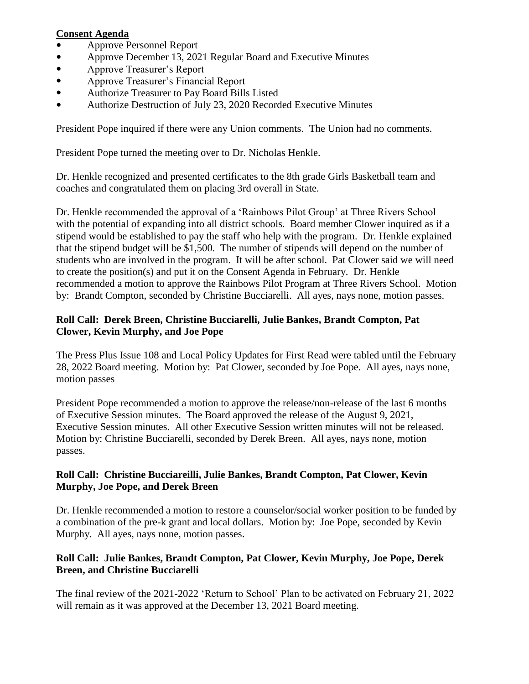#### **Consent Agenda**

- Approve Personnel Report
- Approve December 13, 2021 Regular Board and Executive Minutes
- Approve Treasurer's Report
- Approve Treasurer's Financial Report
- Authorize Treasurer to Pay Board Bills Listed
- Authorize Destruction of July 23, 2020 Recorded Executive Minutes

President Pope inquired if there were any Union comments. The Union had no comments.

President Pope turned the meeting over to Dr. Nicholas Henkle.

Dr. Henkle recognized and presented certificates to the 8th grade Girls Basketball team and coaches and congratulated them on placing 3rd overall in State.

Dr. Henkle recommended the approval of a 'Rainbows Pilot Group' at Three Rivers School with the potential of expanding into all district schools. Board member Clower inquired as if a stipend would be established to pay the staff who help with the program. Dr. Henkle explained that the stipend budget will be \$1,500. The number of stipends will depend on the number of students who are involved in the program. It will be after school. Pat Clower said we will need to create the position(s) and put it on the Consent Agenda in February. Dr. Henkle recommended a motion to approve the Rainbows Pilot Program at Three Rivers School. Motion by: Brandt Compton, seconded by Christine Bucciarelli. All ayes, nays none, motion passes.

#### **Roll Call: Derek Breen, Christine Bucciarelli, Julie Bankes, Brandt Compton, Pat Clower, Kevin Murphy, and Joe Pope**

The Press Plus Issue 108 and Local Policy Updates for First Read were tabled until the February 28, 2022 Board meeting. Motion by: Pat Clower, seconded by Joe Pope. All ayes, nays none, motion passes

President Pope recommended a motion to approve the release/non-release of the last 6 months of Executive Session minutes. The Board approved the release of the August 9, 2021, Executive Session minutes. All other Executive Session written minutes will not be released. Motion by: Christine Bucciarelli, seconded by Derek Breen. All ayes, nays none, motion passes.

## **Roll Call: Christine Bucciareilli, Julie Bankes, Brandt Compton, Pat Clower, Kevin Murphy, Joe Pope, and Derek Breen**

Dr. Henkle recommended a motion to restore a counselor/social worker position to be funded by a combination of the pre-k grant and local dollars. Motion by: Joe Pope, seconded by Kevin Murphy. All ayes, nays none, motion passes.

# **Roll Call: Julie Bankes, Brandt Compton, Pat Clower, Kevin Murphy, Joe Pope, Derek Breen, and Christine Bucciarelli**

The final review of the 2021-2022 'Return to School' Plan to be activated on February 21, 2022 will remain as it was approved at the December 13, 2021 Board meeting.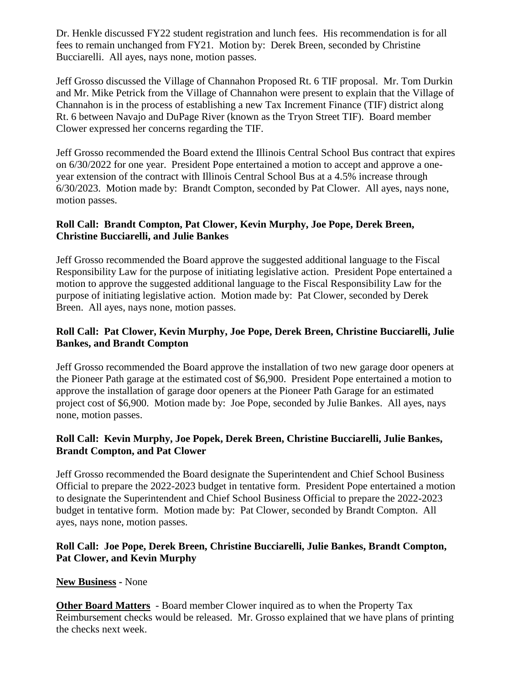Dr. Henkle discussed FY22 student registration and lunch fees. His recommendation is for all fees to remain unchanged from FY21. Motion by: Derek Breen, seconded by Christine Bucciarelli. All ayes, nays none, motion passes.

Jeff Grosso discussed the Village of Channahon Proposed Rt. 6 TIF proposal. Mr. Tom Durkin and Mr. Mike Petrick from the Village of Channahon were present to explain that the Village of Channahon is in the process of establishing a new Tax Increment Finance (TIF) district along Rt. 6 between Navajo and DuPage River (known as the Tryon Street TIF). Board member Clower expressed her concerns regarding the TIF.

Jeff Grosso recommended the Board extend the Illinois Central School Bus contract that expires on 6/30/2022 for one year. President Pope entertained a motion to accept and approve a oneyear extension of the contract with Illinois Central School Bus at a 4.5% increase through 6/30/2023. Motion made by: Brandt Compton, seconded by Pat Clower. All ayes, nays none, motion passes.

#### **Roll Call: Brandt Compton, Pat Clower, Kevin Murphy, Joe Pope, Derek Breen, Christine Bucciarelli, and Julie Bankes**

Jeff Grosso recommended the Board approve the suggested additional language to the Fiscal Responsibility Law for the purpose of initiating legislative action. President Pope entertained a motion to approve the suggested additional language to the Fiscal Responsibility Law for the purpose of initiating legislative action. Motion made by: Pat Clower, seconded by Derek Breen. All ayes, nays none, motion passes.

# **Roll Call: Pat Clower, Kevin Murphy, Joe Pope, Derek Breen, Christine Bucciarelli, Julie Bankes, and Brandt Compton**

Jeff Grosso recommended the Board approve the installation of two new garage door openers at the Pioneer Path garage at the estimated cost of \$6,900. President Pope entertained a motion to approve the installation of garage door openers at the Pioneer Path Garage for an estimated project cost of \$6,900. Motion made by: Joe Pope, seconded by Julie Bankes. All ayes, nays none, motion passes.

## **Roll Call: Kevin Murphy, Joe Popek, Derek Breen, Christine Bucciarelli, Julie Bankes, Brandt Compton, and Pat Clower**

Jeff Grosso recommended the Board designate the Superintendent and Chief School Business Official to prepare the 2022-2023 budget in tentative form. President Pope entertained a motion to designate the Superintendent and Chief School Business Official to prepare the 2022-2023 budget in tentative form. Motion made by: Pat Clower, seconded by Brandt Compton. All ayes, nays none, motion passes.

# **Roll Call: Joe Pope, Derek Breen, Christine Bucciarelli, Julie Bankes, Brandt Compton, Pat Clower, and Kevin Murphy**

## **New Business -** None

**Other Board Matters** - Board member Clower inquired as to when the Property Tax Reimbursement checks would be released. Mr. Grosso explained that we have plans of printing the checks next week.